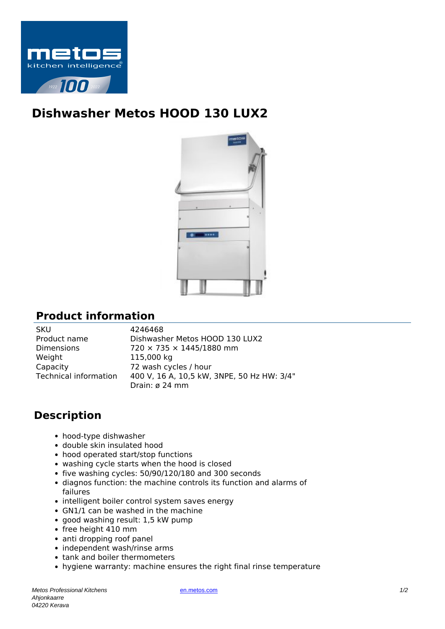

## **Dishwasher Metos HOOD 130 LUX2**



## **Product information**

SKU 4246468 Weight 115,000 kg Capacity 72 wash cycles / hour

Product name Dishwasher Metos HOOD 130 LUX2 Dimensions 720 × 735 × 1445/1880 mm Technical information 400 V, 16 A, 10,5 kW, 3NPE, 50 Hz HW: 3/4" Drain: ø 24 mm

## **Description**

- hood-type dishwasher
- double skin insulated hood
- hood operated start/stop functions
- washing cycle starts when the hood is closed
- five washing cycles: 50/90/120/180 and 300 seconds
- diagnos function: the machine controls its function and alarms of failures
- intelligent boiler control system saves energy
- GN1/1 can be washed in the machine
- good washing result: 1,5 kW pump
- free height 410 mm
- anti dropping roof panel
- independent wash/rinse arms
- tank and boiler thermometers
- hygiene warranty: machine ensures the right final rinse temperature